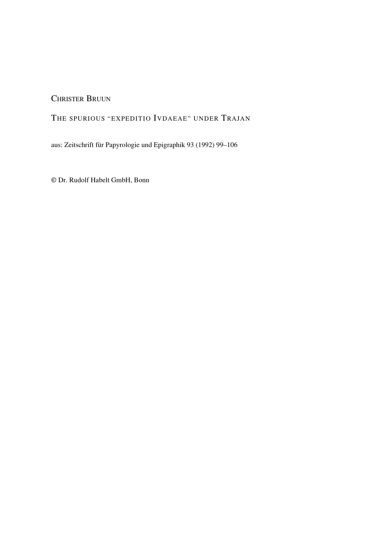CHRISTER BRUUN

# THE SPURIOUS "EXPEDITIO IVDAEAE" UNDER TRAJAN

aus: Zeitschrift für Papyrologie und Epigraphik 93 (1992) 99–106

© Dr. Rudolf Habelt GmbH, Bonn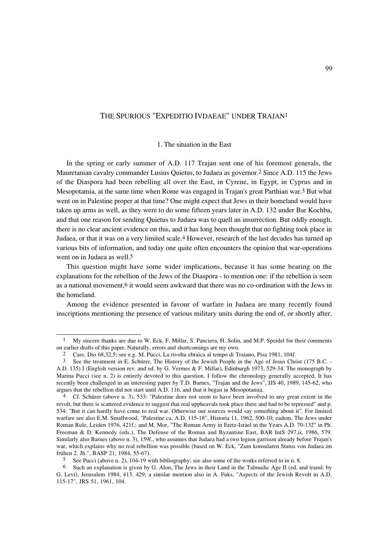# THE SPURIOUS "EXPEDITIO IVDAEAE" UNDER TRAJAN1

#### 1. The situation in the East

In the spring or early summer of A.D. 117 Trajan sent one of his foremost generals, the Mauretanian cavalry commander Lusius Quietus, to Judaea as governor.2 Since A.D. 115 the Jews of the Diaspora had been rebelling all over the East, in Cyrene, in Egypt, in Cyprus and in Mesopotamia, at the same time when Rome was engaged in Trajan's great Parthian war.3 But what went on in Palestine proper at that time? One might expect that Jews in their homeland would have taken up arms as well, as they were to do some fifteen years later in A.D. 132 under Bar Kochba, and that one reason for sending Quietus to Judaea was to quell an insurrection. But oddly enough, there is no clear ancient evidence on this, and it has long been thought that no fighting took place in Judaea, or that it was on a very limited scale.4 However, research of the last decades has turned up various bits of information, and today one quite often encounters the opinion that war-operations went on in Judaea as well.<sup>5</sup>

This question might have some wider implications, because it has some bearing on the explanations for the rebellion of the Jews of the Diaspora - to mention one: if the rebellion is seen as a national movement,6 it would seem awkward that there was no co-ordination with the Jews in the homeland.

Among the evidence presented in favour of warfare in Judaea are many recently found inscriptions mentioning the presence of various military units during the end of, or shortly after,

<sup>1</sup> My sincere thanks are due to W. Eck, F. Millar, S. Panciera, H. Solin, and M.P. Speidel for their comments on earlier drafts of this paper. Naturally, errors and shortcomings are my own.

<sup>2</sup> Cass. Dio 68,32,5; see e.g. M. Pucci, La rivolta ebraica al tempo di Traiano, Pisa 1981, 104f.

<sup>3</sup> See the treatment in E. Schürer, The History of the Jewish People in the Age of Jesus Christ (175 B.C. - A.D. 135) I (English version rev. and ed. by G. Vermes & F. Millar), Edinburgh 1973, 529-34. The monograph by Marina Pucci (see n. 2) is entirely devoted to this question. I follow the chronology generally accepted. It has recently been challenged in an interesting paper by T.D. Barnes, "Trajan and the Jews", JJS 40, 1989, 145-62, who argues that the rebellion did not start until A.D. 116, and that it began in Mesopotamia.

<sup>&</sup>lt;sup>4</sup> Cf. Schürer (above n. 3), 533: "Palestine does not seem to have been involved to any great extent in the revolt, but there is scattered evidence to suggest that real uppheavals took place there and had to be repressed" and p. 534: "But it can hardly have come to real war. Otherwise our sources would say something about it". For limited warfare see also E.M. Smallwood, "Palestine ca. A.D. 115-18", Historia 11, 1962, 500-10; eadem, The Jews under Roman Rule, Leiden 1976, 421f.; and M. Mor, "The Roman Army in Eretz-Israel in the Years A.D. 70-132" in Ph. Freeman & D. Kennedy (eds.), The Defense of the Roman and Byzantine East, BAR IntS 297,ii, 1986, 579. Similarly also Barnes (above n. 3), 159f., who assumes that Judaea had a two legion garrison already before Trajan's war, which explains why no real rebellion was possible (based on W. Eck, "Zum konsularen Status von Judaea im frühen 2. Jh.", BASP 21, 1984, 55-67).

<sup>5</sup> See Pucci (above n. 2), 104-19 with bibliography; see also some of the works referred to in n. 8.

<sup>6</sup> Such an explanation is given by G. Alon, The Jews in their Land in the Talmudic Age II (ed. and transl. by G. Levi), Jerusalem 1984, 413. 429; a similar mention also in A. Fuks, "Aspects of the Jewish Revolt in A.D. 115-17", JRS 51, 1961, 104.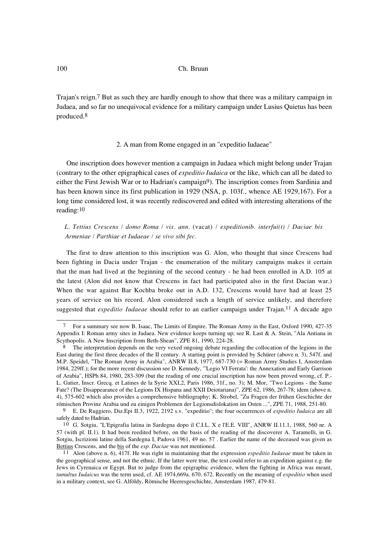Trajan's reign.7 But as such they are hardly enough to show that there was a military campaign in Judaea, and so far no unequivocal evidence for a military campaign under Lusius Quietus has been produced.8

#### 2. A man from Rome engaged in an "expeditio Iudaeae"

One inscription does however mention a campaign in Judaea which might belong under Trajan (contrary to the other epigraphical cases of *expeditio Iudaica* or the like, which can all be dated to either the First Jewish War or to Hadrian's campaign9). The inscription comes from Sardinia and has been known since its first publication in 1929 (NSA, p. 103f., whence AE 1929,167). For a long time considered lost, it was recently rediscovered and edited with interesting alterations of the reading:10

*L. Tettius Crescens / domo Roma / vix. ann.* (vacat) */ expeditionib. interfui(t) / Daciae bis Armeniae / Parthiae et Iudaeae / se vivo sibi fec.*

The first to draw attention to this inscription was G. Alon, who thought that since Crescens had been fighting in Dacia under Trajan - the enumeration of the military campaigns makes it certain that the man had lived at the beginning of the second century - he had been enrolled in A.D. 105 at the latest (Alon did not know that Crescens in fact had participated also in the first Dacian war.) When the war against Bar Kochba broke out in A.D. 132, Crescens would have had at least 25 years of service on his record. Alon considered such a length of service unlikely, and therefore suggested that *expeditio Iudaeae* should refer to an earlier campaign under Trajan.<sup>11</sup> A decade ago

<sup>7</sup> For a summary see now B. Isaac, The Limits of Empire. The Roman Army in the East, Oxford 1990, 427-35 Appendix I: Roman army sites in Judaea. New evidence keeps turning up; see R. Last & A. Stein, "Ala Antiana in Scythopolis. A New Inscription from Beth-Shean", ZPE 81, 1990, 224-28.

<sup>&</sup>lt;sup>8</sup> The interpretation depends on the very vexed ongoing debate regarding the collocation of the legions in the East during the first three decades of the II century. A starting point is provided by Schürer (above n. 3), 547f. and M.P. Speidel, "The Roman Army in Arabia", ANRW II.8, 1977, 687-730 (= Roman Army Studies I, Amsterdam 1984, 229ff.); for the more recent discussion see D. Kennedy, "'Legio VI Ferrata': the Annexation and Early Garrison of Arabia", HSPh 84, 1980, 283-309 (but the reading of one crucial inscription has now been proved wrong, cf. P.- L. Gatier, Inscr. Grecq. et Latines de la Syrie XXI,2, Paris 1986, 31f., no. 3); M. Mor, "Two Legions - the Same Fate? (The Disappearance of the Legions IX Hispana and XXII Deiotariana)", ZPE 62, 1986, 267-78; idem (above n. 4), 575-602 which also provides a comprehensive bibliography; K. Strobel, "Zu Fragen der frühen Geschichte der römischen Provinz Arabia und zu einigen Problemen der Legionsdislokation im Osten ...", ZPE 71, 1988, 251-80.

<sup>9</sup> E. De Ruggiero, Diz.Epi II.3, 1922, 2192 s.v. "expeditio"; the four occurrences of *expeditio Iudaica* are all safely dated to Hadrian.

<sup>10</sup> G. Sotgiu, "L'Epigrafia latina in Sardegna dopo il C.I.L. X e l'E.E. VIII", ANRW II.11.1, 1988, 560 nr. A 57 (with pl. II.1). It had been reedited before, on the basis of the reading of the discoverer A. Taramelli, in G. Sotgiu, Iscrizioni latine della Sardegna I, Padova 1961, 49 no. 57 . Earlier the name of the deceased was given as Bettius Crescens, and the bis of the *exp. Daciae* was not mentioned*.*

<sup>11</sup> Alon (above n. 6), 417f. He was right in maintaining that the expression *expeditio Iudaeae* must be taken in the geographical sense, and not the ethnic. If the latter were true, the text could refer to an expedition against e.g. the Jews in Cyrenaica or Egypt. But to judge from the epigraphic evidence, when the fighting in Africa was meant, *tumultus Iudaicus* was the term used, cf. AE 1974,669a. 670. 672. Recently on the meaning of *expeditio* when used in a military context, see G. Alföldy, Römische Heeresgeschichte, Amsterdam 1987, 479-81.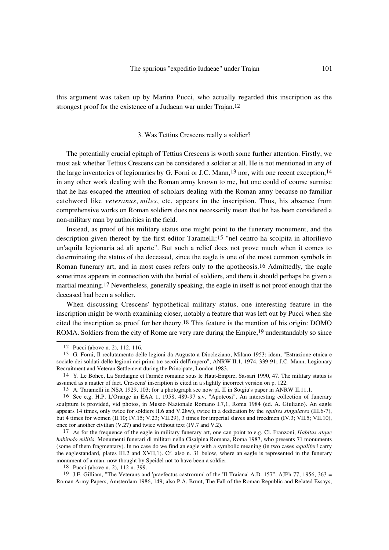this argument was taken up by Marina Pucci, who actually regarded this inscription as the strongest proof for the existence of a Judaean war under Trajan.12

# 3. Was Tettius Crescens really a soldier?

The potentially crucial epitaph of Tettius Crescens is worth some further attention. Firstly, we must ask whether Tettius Crescens can be considered a soldier at all. He is not mentioned in any of the large inventories of legionaries by G. Forni or J.C. Mann,13 nor, with one recent exception,14 in any other work dealing with the Roman army known to me, but one could of course surmise that he has escaped the attention of scholars dealing with the Roman army because no familiar catchword like *veteranus*, *miles*, etc. appears in the inscription. Thus, his absence from comprehensive works on Roman soldiers does not necessarily mean that he has been considered a non-military man by authorities in the field.

Instead, as proof of his military status one might point to the funerary monument, and the description given thereof by the first editor Taramelli:15 "nel centro ha scolpita in altorilievo un'aquila legionaria ad ali aperte". But such a relief does not prove much when it comes to determinating the status of the deceased, since the eagle is one of the most common symbols in Roman funerary art, and in most cases refers only to the apotheosis.16 Admittedly, the eagle sometimes appears in connection with the burial of soldiers, and there it should perhaps be given a martial meaning.17 Nevertheless, generally speaking, the eagle in itself is not proof enough that the deceased had been a soldier.

When discussing Crescens' hypothetical military status, one interesting feature in the inscription might be worth examining closer, notably a feature that was left out by Pucci when she cited the inscription as proof for her theory.18 This feature is the mention of his origin: DOMO ROMA. Soldiers from the city of Rome are very rare during the Empire,19 understandably so since

<sup>12</sup> Pucci (above n. 2), 112. 116.

<sup>13</sup> G. Forni, Il reclutamento delle legioni da Augusto a Diocleziano, Milano 1953; idem, "Estrazione etnica e sociale dei soldati delle legioni nei primi tre secoli dell'impero", ANRW II.1, 1974, 339-91; J.C. Mann, Legionary Recruitment and Veteran Settlement during the Principate, London 1983.

<sup>14</sup> Y. Le Bohec, La Sardaigne et l'armée romaine sous le Haut-Empire, Sassari 1990, 47. The military status is assumed as a matter of fact. Crescens' inscription is cited in a slightly incorrect version on p. 122.

<sup>15</sup> A. Taramelli in NSA 1929, 103; for a photograph see now pl. II in Sotgiu's paper in ANRW II.11.1.

<sup>16</sup> See e.g. H.P. L'Orange in EAA 1, 1958, 489-97 s.v. "Apoteosi". An interesting collection of funerary sculpture is provided, vid photos, in Museo Nazionale Romano I.7,1, Roma 1984 (ed. A. Giuliano). An eagle appears 14 times, only twice for soldiers (I.6 and V.28w), twice in a dedication by the *equites singulares* (III.6-7), but 4 times for women (II.10; IV.15; V.23; VII.29), 3 times for imperial slaves and freedmen (IV.3; VII.5; VII.10), once for another civilian (V.27) and twice without text (IV.7 and V.2).

<sup>17</sup> As for the frequence of the eagle in military funerary art, one can point to e.g. Cl. Franzoni, *Habitus atque habitudo militis*. Monumenti funerari di militari nella Cisalpina Romana, Roma 1987, who presents 71 monuments (some of them fragmentary). In no case do we find an eagle with a symbolic meaning (in two cases *aquiliferi* carry the eaglestandard, plates III.2 and XVII,1). Cf. also n. 31 below, where an eagle is represented in the funerary monument of a man, now thought by Speidel not to have been a soldier.

<sup>18</sup> Pucci (above n. 2), 112 n. 399.

<sup>19</sup> J.F. Gilliam, "The Veterans and 'praefectus castrorum' of the 'II Traiana' A.D. 157", AJPh 77, 1956, 363 = Roman Army Papers, Amsterdam 1986, 149; also P.A. Brunt, The Fall of the Roman Republic and Related Essays,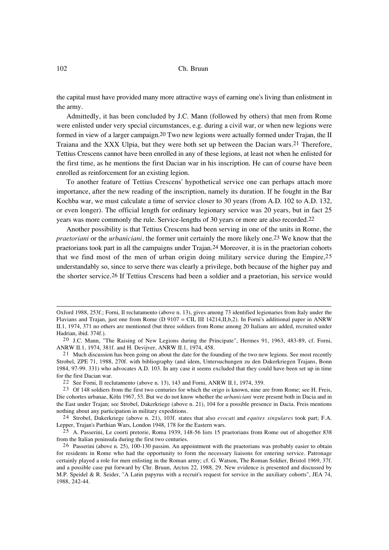the capital must have provided many more attractive ways of earning one's living than enlistment in the army.

Admittedly, it has been concluded by J.C. Mann (followed by others) that men from Rome were enlisted under very special circumstances, e.g. during a civil war, or when new legions were formed in view of a larger campaign.20 Two new legions were actually formed under Trajan, the II Traiana and the XXX Ulpia, but they were both set up between the Dacian wars.21 Therefore, Tettius Crescens cannot have been enrolled in any of these legions, at least not when he enlisted for the first time, as he mentions the first Dacian war in his inscription. He can of course have been enrolled as reinforcement for an existing legion.

To another feature of Tettius Crescens' hypothetical service one can perhaps attach more importance, after the new reading of the inscription, namely its duration. If he fought in the Bar Kochba war, we must calculate a time of service closer to 30 years (from A.D. 102 to A.D. 132, or even longer). The official length for ordinary legionary service was 20 years, but in fact 25 years was more commonly the rule. Service-lengths of 30 years or more are also recorded.22

Another possibility is that Tettius Crescens had been serving in one of the units in Rome, the *praetoriani* or the *urbaniciani,* the former unit certainly the more likely one.23 We know that the praetorians took part in all the campaigns under Trajan.24 Moreover, it is in the praetorian cohorts that we find most of the men of urban origin doing military service during the Empire,25 understandably so, since to serve there was clearly a privilege, both because of the higher pay and the shorter service.26 If Tettius Crescens had been a soldier and a praetorian, his service would

Oxford 1988, 253f.; Forni, Il reclutamento (above n. 13), gives among 73 identified legionaries from Italy under the Flavians and Trajan, just one from Rome (D 9107 = CIL III 14214,II,b,2). In Forni's additional paper in ANRW II.1, 1974, 371 no others are mentioned (but three soldiers from Rome among 20 Italians are added, recruited under Hadrian, ibid. 374f.).

<sup>20</sup> J.C. Mann, "The Raising of New Legions during the Principate", Hermes 91, 1963, 483-89, cf. Forni, ANRW II.1, 1974, 381f. and H. Devijver, ANRW II.1, 1974, 458.

<sup>21</sup> Much discussion has been going on about the date for the founding of the two new legions. See most recently Strobel, ZPE 71, 1988, 270f. with bibliography (and idem, Untersuchungen zu den Dakerkriegen Trajans, Bonn 1984, 97-99. 331) who advocates A.D. 103. In any case it seems excluded that they could have been set up in time for the first Dacian war.

<sup>22</sup> See Forni, Il reclutamento (above n. 13), 143 and Forni, ANRW II.1, 1974, 359.

<sup>23</sup> Of 148 soldiers from the first two centuries for which the origo is known, nine are from Rome; see H. Freis, Die cohortes urbanae, Köln 1967, 53. But we do not know whether the *urbaniciani* were present both in Dacia and in the East under Trajan; see Strobel, Dakerkriege (above n. 21), 104 for a possible presence in Dacia. Freis mentions nothing about any participation in military expeditions.

<sup>24</sup> Strobel, Dakerkriege (above n. 21), 103f. states that also *evocati* and *equites singulares* took part; F.A. Lepper, Trajan's Parthian Wars, London 1948, 178 for the Eastern wars.

<sup>25</sup> A. Passerini, Le coorti pretorie, Roma 1939, 148-56 lists 15 praetorians from Rome out of altogether 838 from the Italian peninsula during the first two centuries.

<sup>26</sup> Passerini (above n. 25), 100-130 passim. An appointment with the praetorians was probably easier to obtain for residents in Rome who had the opportunity to form the necessary liaisons for entering service. Patronage certainly played a role for men enlisting in the Roman army; cf. G. Watson, The Roman Soldier, Bristol 1969, 37f. and a possible case put forward by Chr. Bruun, Arctos 22, 1988, 29. New evidence is presented and discussed by M.P. Speidel & R. Seider, "A Latin papyrus with a recruit's request for service in the auxiliary cohorts", JEA 74, 1988, 242-44.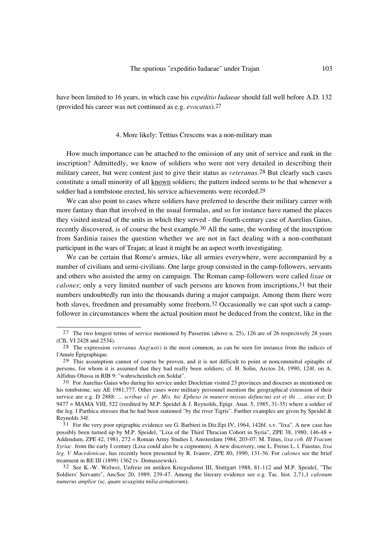have been limited to 16 years, in which case his *expeditio Iudaeae* should fall well before A.D. 132 (provided his career was not continued as e.g. *evocatus*).27

# 4. More likely: Tettius Crescens was a non-military man

How much importance can be attached to the omission of any unit of service and rank in the inscription? Admittedly, we know of soldiers who were not very detailed in describing their military career, but were content just to give their status as *veteranus*.28 But clearly such cases constitute a small minority of all known soldiers; the pattern indeed seems to be that whenever a soldier had a tombstone erected, his service achievements were recorded.29

We can also point to cases where soldiers have preferred to describe their military career with more fantasy than that involved in the usual formulas, and so for instance have named the places they visited instead of the units in which they served - the fourth-century case of Aurelius Gaius, recently discovered, is of course the best example.30 All the same, the wording of the inscription from Sardinia raises the question whether we are not in fact dealing with a non-combatant participant in the wars of Trajan; at least it might be an aspect worth investigating.

We can be certain that Rome's armies, like all armies everywhere, were accompanied by a number of civilians and semi-civilians. One large group consisted in the camp-followers, servants and others who assisted the army on campaign. The Roman camp-followers were called *lixae* or *calones*; only a very limited number of such persons are known from inscriptions,31 but their numbers undoubtedly run into the thousands during a major campaign. Among them there were both slaves, freedmen and presumably some freeborn.32 Occasionally we can spot such a campfollower in circumstances where the actual position must be deduced from the context, like in the

<sup>27</sup> The two longest terms of service mentioned by Passerini (above n. 25), 126 are of 26 respectively 28 years (CIL VI 2428 and 2534).

<sup>28</sup> The expression *veteranus Aug(usti)* is the most common, as can be seen for instance from the indices of l'Année Épigraphique.

<sup>29</sup> This assumption cannot of course be proven, and it is not difficult to point at noncommittal epitaphs of persons, for whom it is assumed that they had really been soldiers; cf. H. Solin, Arctos 24, 1990, 124f. on A. Alfidius Olussa in RIB 9: "wahrscheinlich ein Soldat".

<sup>30</sup> For Aurelius Gaius who during his service under Diocletian visited 23 provinces and dioceses as mentioned on his tombstone, see AE 1981,777. Other cases were military personnel mention the geographical extension of their service are e.g. D 2888: ... *scribae cl. pr. Mis. hic Epheso in munere missus defunctus est et ibi ... situs est*; D 9477 = MAMA VIII, 522 (reedited by M.P. Speidel & J. Reynolds, Epigr. Anat. 5, 1985, 31-35) where a soldier of the leg. I Parthica stresses that he had been stationed "by the river Tigris". Further examples are given by Speidel & Reynolds 34f.

<sup>31</sup> For the very poor epigraphic evidence see G. Barbieri in Diz.Epi IV, 1964, 1426f. s.v. "lixa". A new case has possibly been turned up by M.P. Speidel, "Lixa of the Third Thracian Cohort in Syria", ZPE 38, 1980, 146-48 + Addendum, ZPE 42, 1981, 272 = Roman Army Studies I, Amsterdam 1984, 203-07: M. Titius, *lixa coh. III Tracum Syriac.* from the early I century (Lixa could also be a cognomen). A new discovery, one L. Freius L. l. Faustus, *lixa leg. V Macedonicae*, has recently been presented by R. Ivanov, ZPE 80, 1990, 131-36. For *calones* see the brief treatment in RE III (1899) 1362 (v. Domaszewski).

<sup>32</sup> See K.-W. Welwei, Unfreie im antiken Kriegsdienst III, Stuttgart 1988, 81-112 and M.P. Speidel, "The Soldiers' Servants", AncSoc 20, 1989, 239-47. Among the literary evidence see e.g. Tac. hist. 2,71,1 *calonum numerus amplior* (sc. *quam sexaginta milia armatorum*).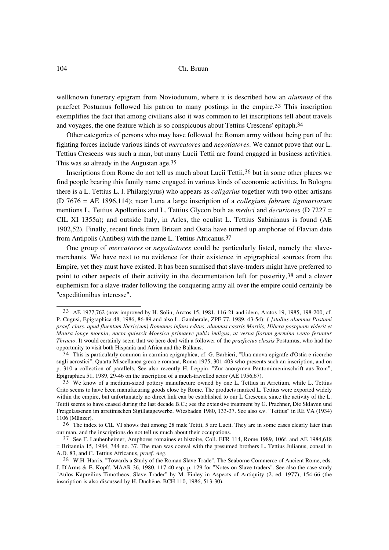# 104 Ch. Bruun

wellknown funerary epigram from Noviodunum, where it is described how an *alumnus* of the praefect Postumus followed his patron to many postings in the empire.33 This inscription exemplifies the fact that among civilians also it was common to let inscriptions tell about travels and voyages, the one feature which is so conspicuous about Tettius Crescens' epitaph.34

Other categories of persons who may have followed the Roman army without being part of the fighting forces include various kinds of *mercatores* and *negotiatores.* We cannot prove that our L. Tettius Crescens was such a man, but many Lucii Tettii are found engaged in business activities. This was so already in the Augustan age.35

Inscriptions from Rome do not tell us much about Lucii Tettii,36 but in some other places we find people bearing this family name engaged in various kinds of economic activities. In Bologna there is a L. Tettius L. l. Philarg(yrus) who appears as *caligarius* together with two other artisans (D 7676 = AE 1896,114); near Luna a large inscription of a *collegium fabrum tignuariorum* mentions L. Tettius Apollonius and L. Tettius Glycon both as *medici* and *decuriones* (D 7227 = CIL XI 1355a); and outside Italy, in Arles, the oculist L. Tettius Sabinianus is found (AE 1902,52). Finally, recent finds from Britain and Ostia have turned up amphorae of Flavian date from Antipolis (Antibes) with the name L. Tettius Africanus.37

One group of *mercatores* or *negotiatores* could be particularly listed, namely the slavemerchants. We have next to no evidence for their existence in epigraphical sources from the Empire, yet they must have existed. It has been surmised that slave-traders might have preferred to point to other aspects of their activity in the documentation left for posterity,38 and a clever euphemism for a slave-trader following the conquering army all over the empire could certainly be "expeditionibus interesse".

<sup>33</sup> AE 1977,762 (now improved by H. Solin, Arctos 15, 1981, 116-21 and idem, Arctos 19, 1985, 198-200; cf. P. Cugusi, Epigraphica 48, 1986, 86-89 and also L. Gamberale, ZPE 77, 1989, 43-54): *[-]stallus alumnus Postumi praef. class. apud fluentum Iberic(um) Romanus infans editus, alumnus castris Martiis, Hibera postquam viderit et Maura longe moenia, nacta quiescit Moesica primaeve pubis indigus, ut verna florum germina vento feruntur Thracio.* It would certainly seem that we here deal with a follower of the *praefectus classis* Postumus, who had the opportunity to visit both Hispania and Africa and the Balkans.

<sup>34</sup> This is particularly common in carmina epigraphica, cf. G. Barbieri, "Una nuova epigrafe d'Ostia e ricerche sugli acrostici", Quarta Miscellanea greca e romana, Roma 1975, 301-403 who presents such an inscription, and on p. 310 a collection of parallels. See also recently H. Leppin, "Zur anonymen Pantomimeninschrift aus Rom", Epigraphica 51, 1989, 29-46 on the inscription of a much-travelled actor (AE 1956,67).

<sup>35</sup> We know of a medium-sized pottery manufacture owned by one L. Tettius in Arretium, while L. Tettius Crito seems to have been manufacuring goods close by Rome. The products marked L. Tettius were exported widely within the empire, but unfortunately no direct link can be established to our L Crescens, since the activity of the L. Tettii seems to have ceased during the last decade B.C.; see the extensive treatment by G. Prachner, Die Sklaven und Freigelassenen im arretinischen Sigillatagewerbe, Wiesbaden 1980, 133-37. See also s.v. "Tettius" in RE VA (1934) 1106 (Münzer).

<sup>36</sup> The index to CIL VI shows that among 28 male Tettii, 5 are Lucii. They are in some cases clearly later than our man, and the inscriptions do not tell us much about their occupations.

<sup>37</sup> See F. Laubenheimer, Amphores romaines et histoire, Coll. EFR 114, Rome 1989, 106f. and AE 1984,618 = Britannia 15, 1984, 344 no. 37. The man was coeval with the presumed brothers L. Tettius Julianus, consul in A.D. 83, and C. Tettius Africanus, *praef. Aeg.*

<sup>38</sup> W.H. Harris, "Towards a Study of the Roman Slave Trade", The Seaborne Commerce of Ancient Rome, eds. J. D'Arms & E. Kopff, MAAR 36, 1980, 117-40 esp. p. 129 for "Notes on Slave-traders". See also the case-study "Aulos Kapreilios Timotheos, Slave Trader" by M. Finley in Aspects of Antiquity (2. ed. 1977), 154-66 (the inscription is also discussed by H. Duchêne, BCH 110, 1986, 513-30).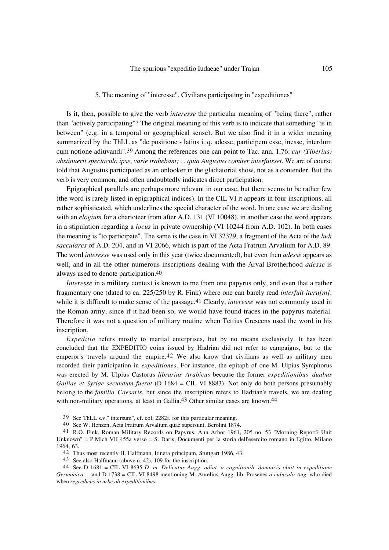## 5. The meaning of "interesse". Civilians participating in "expeditiones"

Is it, then, possible to give the verb *interesse* the particular meaning of "being there", rather than "actively participating"? The original meaning of this verb is to indicate that something "is in between" (e.g. in a temporal or geographical sense). But we also find it in a wider meaning summarized by the ThLL as "de positione - latius i. q. adesse, participem esse, inesse, interdum cum notione adiuvandi".39 Among the references one can point to Tac. ann. 1,76: *cur (Tiberius) abstinuerit spectaculo ipse, varie trahebant; ... quia Augustus comiter interfuisset*. We are of course told that Augustus participated as an onlooker in the gladiatorial show, not as a contender. But the verb is very common, and often undoubtedly indicates direct participation.

Epigraphical parallels are perhaps more relevant in our case, but there seems to be rather few (the word is rarely listed in epigraphical indices). In the CIL VI it appears in four inscriptions, all rather sophisticated, which underlines the special character of the word. In one case we are dealing with an *elogium* for a charioteer from after A.D. 131 (VI 10048), in another case the word appears in a stipulation regarding a *locus* in private ownership (VI 10244 from A.D. 102). In both cases the meaning is "to participate". The same is the case in VI 32329, a fragment of the Acta of the *ludi saeculares* of A.D. 204, and in VI 2066, which is part of the Acta Fratrum Arvalium for A.D. 89. The word *interesse* was used only in this year (twice documented), but even then *adesse* appears as well, and in all the other numerous inscriptions dealing with the Arval Brotherhood *adesse* is always used to denote participation.40

*Interesse* in a military context is known to me from one papyrus only, and even that a rather fragmentary one (dated to ca. 225/250 by R. Fink) where one can barely read *interfuit iteru[m]*, while it is difficult to make sense of the passage.41 Clearly, *interesse* was not commonly used in the Roman army, since if it had been so, we would have found traces in the papyrus material. Therefore it was not a question of military routine when Tettius Crescens used the word in his inscription.

*Expeditio* refers mostly to martial enterprises, but by no means exclusively. It has been concluded that the EXPEDITIO coins issued by Hadrian did not refer to campaigns, but to the emperor's travels around the empire.<sup>42</sup> We also know that civilians as well as military men recorded their participation in *expeditiones*. For instance, the epitaph of one M. Ulpius Symphorus was erected by M. Ulpius Castorus *librarius Arabicus* because the former *expeditionibus duabus Galliae et Syriae secundum fuerat* (D 1684 = CIL VI 8883). Not only do both persons presumably belong to the *familia Caesaris*, but since the inscription refers to Hadrian's travels, we are dealing with non-military operations, at least in Gallia.<sup>43</sup> Other similar cases are known.<sup>44</sup>

<sup>39</sup> See ThLL s.v." intersum", cf. col. 2282f. for this particular meaning.

<sup>40</sup> See W. Henzen, Acta Fratrum Arvalium quae supersunt, Berolini 1874.

<sup>41</sup> R.O. Fink, Roman Military Records on Papyrus, Ann Arbor 1961, 205 no. 53 "Morning Report? Unit Unknown" = P.Mich VII 455a verso = S. Daris, Documenti per la storia dell'esercito romano in Egitto, Milano 1964, 63.

<sup>42</sup> Thus most recently H. Halfmann, Itinera principum, Stuttgart 1986, 43.

<sup>43</sup> See also Halfmann (above n. 42), 109 for the inscription.

<sup>44</sup> See D 1681 = CIL VI 8635 *D. m. Delicatus Augg. adiut. a cognitionib. domnicis obiit in expeditione Germanica ...* and D 1738 = CIL VI 8498 mentioning M. Aurelius Augg. lib. Prosenes *a cubiculo Aug.* who died when *regrediens in urbe ab expeditionibus*.